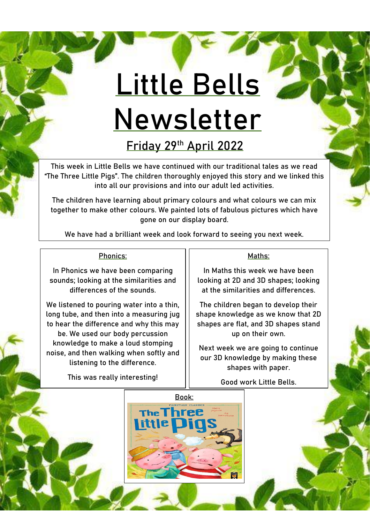# **Little Bells Newsletter**

**Friday 29th April 2022**

This week in Little Bells we have continued with our traditional tales as we read "The Three Little Pigs". The children thoroughly enjoyed this story and we linked this into all our provisions and into our adult led activities.

The children have learning about primary colours and what colours we can mix together to make other colours. We painted lots of fabulous pictures which have gone on our display board.

We have had a brilliant week and look forward to seeing you next week.

## Phonics:

In Phonics we have been comparing sounds; looking at the similarities and differences of the sounds.

We listened to pouring water into a thin, long tube, and then into a measuring jug to hear the difference and why this may be. We used our body percussion knowledge to make a loud stomping noise, and then walking when softly and listening to the difference.

This was really interesting!

### Maths:

In Maths this week we have been looking at 2D and 3D shapes; looking at the similarities and differences.

The children began to develop their shape knowledge as we know that 2D shapes are flat, and 3D shapes stand up on their own.

Next week we are going to continue our 3D knowledge by making these shapes with paper.

Good work Little Bells.